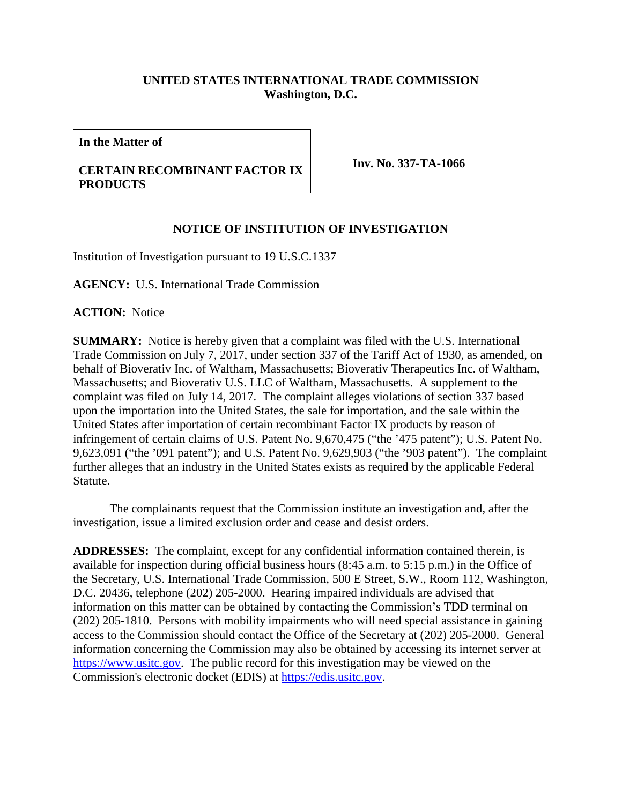## **UNITED STATES INTERNATIONAL TRADE COMMISSION Washington, D.C.**

**In the Matter of**

**CERTAIN RECOMBINANT FACTOR IX PRODUCTS**

**Inv. No. 337-TA-1066**

## **NOTICE OF INSTITUTION OF INVESTIGATION**

Institution of Investigation pursuant to 19 U.S.C.1337

**AGENCY:** U.S. International Trade Commission

**ACTION:** Notice

**SUMMARY:** Notice is hereby given that a complaint was filed with the U.S. International Trade Commission on July 7, 2017, under section 337 of the Tariff Act of 1930, as amended, on behalf of Bioverativ Inc. of Waltham, Massachusetts; Bioverativ Therapeutics Inc. of Waltham, Massachusetts; and Bioverativ U.S. LLC of Waltham, Massachusetts. A supplement to the complaint was filed on July 14, 2017. The complaint alleges violations of section 337 based upon the importation into the United States, the sale for importation, and the sale within the United States after importation of certain recombinant Factor IX products by reason of infringement of certain claims of U.S. Patent No. 9,670,475 ("the '475 patent"); U.S. Patent No. 9,623,091 ("the '091 patent"); and U.S. Patent No. 9,629,903 ("the '903 patent"). The complaint further alleges that an industry in the United States exists as required by the applicable Federal Statute.

The complainants request that the Commission institute an investigation and, after the investigation, issue a limited exclusion order and cease and desist orders.

**ADDRESSES:** The complaint, except for any confidential information contained therein, is available for inspection during official business hours (8:45 a.m. to 5:15 p.m.) in the Office of the Secretary, U.S. International Trade Commission, 500 E Street, S.W., Room 112, Washington, D.C. 20436, telephone (202) 205-2000. Hearing impaired individuals are advised that information on this matter can be obtained by contacting the Commission's TDD terminal on (202) 205-1810. Persons with mobility impairments who will need special assistance in gaining access to the Commission should contact the Office of the Secretary at (202) 205-2000. General information concerning the Commission may also be obtained by accessing its internet server at [https://www.usitc.gov.](https://www.usitc.gov/) The public record for this investigation may be viewed on the Commission's electronic docket (EDIS) at [https://edis.usitc.gov.](https://edis.usitc.gov/)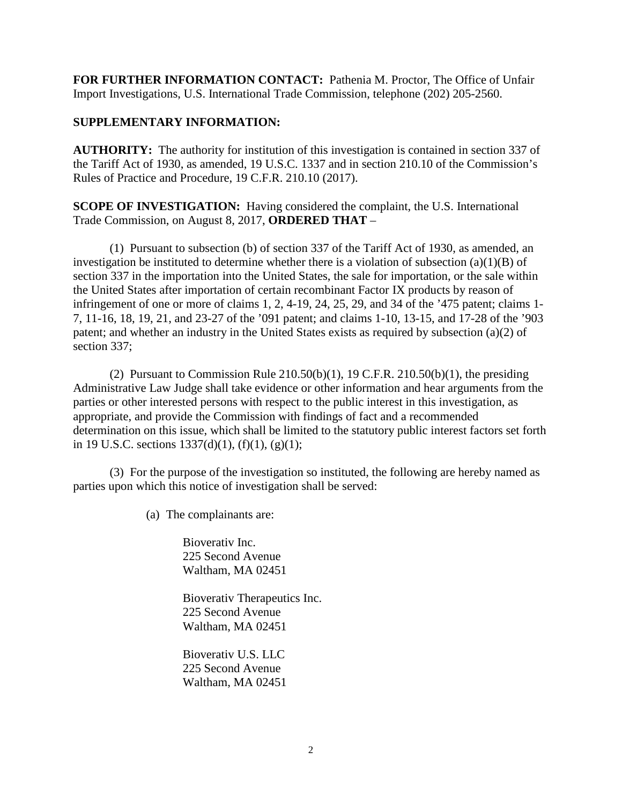**FOR FURTHER INFORMATION CONTACT:** Pathenia M. Proctor, The Office of Unfair Import Investigations, U.S. International Trade Commission, telephone (202) 205-2560.

## **SUPPLEMENTARY INFORMATION:**

**AUTHORITY:** The authority for institution of this investigation is contained in section 337 of the Tariff Act of 1930, as amended, 19 U.S.C. 1337 and in section 210.10 of the Commission's Rules of Practice and Procedure, 19 C.F.R. 210.10 (2017).

**SCOPE OF INVESTIGATION:** Having considered the complaint, the U.S. International Trade Commission, on August 8, 2017, **ORDERED THAT** –

(1) Pursuant to subsection (b) of section 337 of the Tariff Act of 1930, as amended, an investigation be instituted to determine whether there is a violation of subsection  $(a)(1)(B)$  of section 337 in the importation into the United States, the sale for importation, or the sale within the United States after importation of certain recombinant Factor IX products by reason of infringement of one or more of claims 1, 2, 4-19, 24, 25, 29, and 34 of the '475 patent; claims 1- 7, 11-16, 18, 19, 21, and 23-27 of the '091 patent; and claims 1-10, 13-15, and 17-28 of the '903 patent; and whether an industry in the United States exists as required by subsection (a)(2) of section 337;

(2) Pursuant to Commission Rule  $210.50(b)(1)$ , 19 C.F.R.  $210.50(b)(1)$ , the presiding Administrative Law Judge shall take evidence or other information and hear arguments from the parties or other interested persons with respect to the public interest in this investigation, as appropriate, and provide the Commission with findings of fact and a recommended determination on this issue, which shall be limited to the statutory public interest factors set forth in 19 U.S.C. sections  $1337(d)(1)$ ,  $(f)(1)$ ,  $(g)(1)$ ;

(3) For the purpose of the investigation so instituted, the following are hereby named as parties upon which this notice of investigation shall be served:

(a) The complainants are:

Bioverativ Inc. 225 Second Avenue Waltham, MA 02451

Bioverativ Therapeutics Inc. 225 Second Avenue Waltham, MA 02451

Bioverativ U.S. LLC 225 Second Avenue Waltham, MA 02451